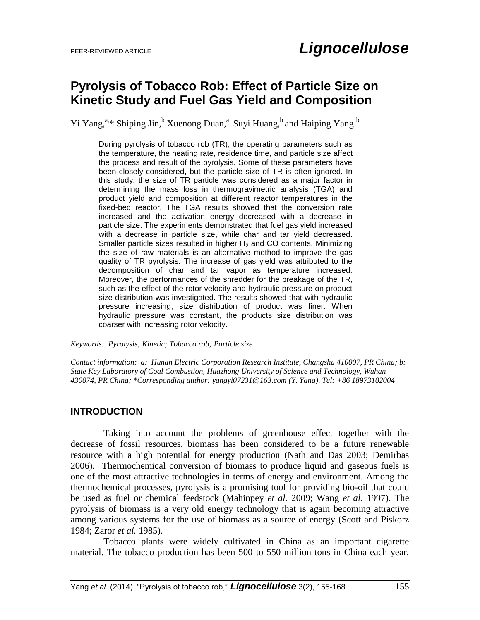# **Pyrolysis of Tobacco Rob: Effect of Particle Size on Kinetic Study and Fuel Gas Yield and Composition**

Yi Yang,<sup>a,\*</sup> Shiping Jin,<sup>b</sup> Xuenong Duan,<sup>a</sup> Suyi Huang,<sup>b</sup> and Haiping Yang <sup>b</sup>

During pyrolysis of tobacco rob (TR), the operating parameters such as the temperature, the heating rate, residence time, and particle size affect the process and result of the pyrolysis. Some of these parameters have been closely considered, but the particle size of TR is often ignored. In this study, the size of TR particle was considered as a major factor in determining the mass loss in thermogravimetric analysis (TGA) and product yield and composition at different reactor temperatures in the fixed-bed reactor. The TGA results showed that the conversion rate increased and the activation energy decreased with a decrease in particle size. The experiments demonstrated that fuel gas yield increased with a decrease in particle size, while char and tar yield decreased. Smaller particle sizes resulted in higher  $H_2$  and CO contents. Minimizing the size of raw materials is an alternative method to improve the gas quality of TR pyrolysis. The increase of gas yield was attributed to the decomposition of char and tar vapor as temperature increased. Moreover, the performances of the shredder for the breakage of the TR, such as the effect of the rotor velocity and hydraulic pressure on product size distribution was investigated. The results showed that with hydraulic pressure increasing, size distribution of product was finer. When hydraulic pressure was constant, the products size distribution was coarser with increasing rotor velocity.

#### *Keywords: Pyrolysis; Kinetic; Tobacco rob; Particle size*

*Contact information: a: Hunan Electric Corporation Research Institute, Changsha 410007, PR China; b: State Key Laboratory of Coal Combustion, Huazhong University of Science and Technology, Wuhan 430074, PR China; \*Corresponding author[: yangyi07231@163.com](mailto:yangyi07231@163.com) (Y. Yang), Tel: +86 18973102004*

#### **INTRODUCTION**

 Taking into account the problems of greenhouse effect together with the decrease of fossil resources, biomass has been considered to be a future renewable resource with a high potential for energy production (Nath and Das 2003; Demirbas 2006). Thermochemical conversion of biomass to produce liquid and gaseous fuels is one of the most attractive technologies in terms of energy and environment. Among the thermochemical processes, pyrolysis is a promising tool for providing bio-oil that could be used as fuel or chemical feedstock (Mahinpey *et al.* 2009; Wang *et al.* 1997). The pyrolysis of biomass is a very old energy technology that is again becoming attractive among various systems for the use of biomass as a source of energy (Scott and Piskorz 1984; Zaror *et al.* 1985).

 Tobacco plants were widely cultivated in China as an important cigarette material. The tobacco production has been 500 to 550 million tons in China each year.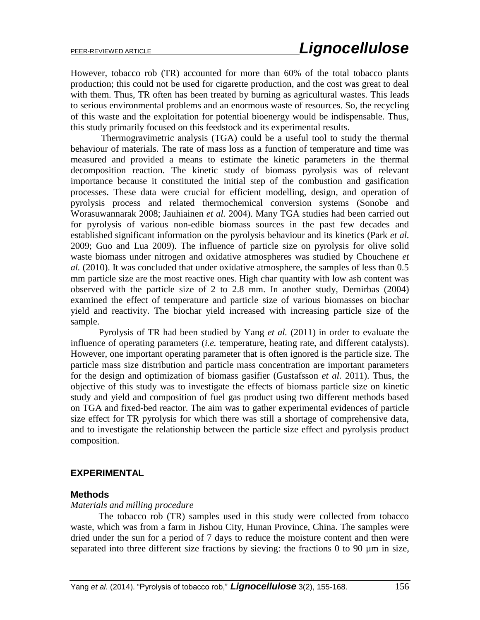However, tobacco rob (TR) accounted for more than 60% of the total tobacco plants production; this could not be used for cigarette production, and the cost was great to deal with them. Thus, TR often has been treated by burning as agricultural wastes. This leads to serious environmental problems and an enormous waste of resources. So, the recycling of this waste and the exploitation for potential bioenergy would be indispensable. Thus, this study primarily focused on this feedstock and its experimental results.

Thermogravimetric analysis (TGA) could be a useful tool to study the thermal behaviour of materials. The rate of mass loss as a function of temperature and time was measured and provided a means to estimate the kinetic parameters in the thermal decomposition reaction. The kinetic study of biomass pyrolysis was of relevant importance because it constituted the initial step of the combustion and gasification processes. These data were crucial for efficient modelling, design, and operation of pyrolysis process and related thermochemical conversion systems (Sonobe and Worasuwannarak 2008; Jauhiainen *et al.* 2004). Many TGA studies had been carried out for pyrolysis of various non-edible biomass sources in the past few decades and established significant information on the pyrolysis behaviour and its kinetics (Park *et al.* 2009; Guo and Lua 2009). The influence of particle size on pyrolysis for olive solid waste biomass under nitrogen and oxidative atmospheres was studied by Chouchene *et al.* (2010). It was concluded that under oxidative atmosphere, the samples of less than 0.5 mm particle size are the most reactive ones. High char quantity with low ash content was observed with the particle size of 2 to 2.8 mm. In another study, Demirbas (2004) examined the effect of temperature and particle size of various biomasses on biochar yield and reactivity. The biochar yield increased with increasing particle size of the sample.

Pyrolysis of TR had been studied by Yang *et al.* (2011) in order to evaluate the influence of operating parameters (*i.e.* temperature, heating rate, and different catalysts). However, one important operating parameter that is often ignored is the particle size. The particle mass size distribution and particle mass concentration are important parameters for the design and optimization of biomass gasifier (Gustafsson *et al.* 2011). Thus, the objective of this study was to investigate the effects of biomass particle size on kinetic study and yield and composition of fuel gas product using two different methods based on TGA and fixed-bed reactor. The aim was to gather experimental evidences of particle size effect for TR pyrolysis for which there was still a shortage of comprehensive data, and to investigate the relationship between the particle size effect and pyrolysis product composition.

# **EXPERIMENTAL**

# **Methods**

#### *Materials and milling procedure*

The tobacco rob (TR) samples used in this study were collected from tobacco waste, which was from a farm in Jishou City, Hunan Province, China. The samples were dried under the sun for a period of 7 days to reduce the moisture content and then were separated into three different size fractions by sieving: the fractions 0 to 90  $\mu$ m in size,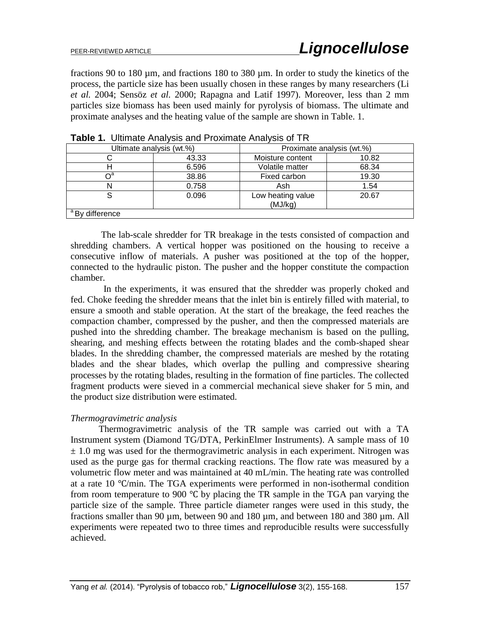fractions 90 to 180 µm, and fractions 180 to 380 µm. In order to study the kinetics of the process, the particle size has been usually chosen in these ranges by many researchers (Li *et al.* 2004; Sensöz *et al.* 2000; Rapagna and Latif 1997). Moreover, less than 2 mm particles size biomass has been used mainly for pyrolysis of biomass. The ultimate and proximate analyses and the heating value of the sample are shown in Table. 1.

| Ultimate analysis (wt.%)           |       | Proximate analysis (wt.%)    |       |  |  |
|------------------------------------|-------|------------------------------|-------|--|--|
|                                    | 43.33 | Moisture content             | 10.82 |  |  |
|                                    | 6.596 | Volatile matter              | 68.34 |  |  |
|                                    | 38.86 | Fixed carbon                 | 19.30 |  |  |
|                                    | 0.758 | Ash                          | 1.54  |  |  |
|                                    | 0.096 | Low heating value<br>(MJ/kg) | 20.67 |  |  |
| $\sqrt{\phantom{a}}$ By difference |       |                              |       |  |  |

**Table 1.** Ultimate Analysis and Proximate Analysis of TR

The lab-scale shredder for TR breakage in the tests consisted of compaction and shredding chambers. A vertical hopper was positioned on the housing to receive a consecutive inflow of materials. A pusher was positioned at the top of the hopper, connected to the hydraulic piston. The pusher and the hopper constitute the compaction chamber.

 In the experiments, it was ensured that the shredder was properly choked and fed. Choke feeding the shredder means that the inlet bin is entirely filled with material, to ensure a smooth and stable operation. At the start of the breakage, the feed reaches the compaction chamber, compressed by the pusher, and then the compressed materials are pushed into the shredding chamber. The breakage mechanism is based on the pulling, shearing, and meshing effects between the rotating blades and the comb-shaped shear blades. In the shredding chamber, the compressed materials are meshed by the rotating blades and the shear blades, which overlap the pulling and compressive shearing processes by the rotating blades, resulting in the formation of fine particles. The collected fragment products were sieved in a commercial mechanical sieve shaker for 5 min, and the product size distribution were estimated.

#### *Thermogravimetric analysis*

Thermogravimetric analysis of the TR sample was carried out with a TA Instrument system (Diamond TG/DTA, PerkinElmer Instruments). A sample mass of 10  $\pm$  1.0 mg was used for the thermogravimetric analysis in each experiment. Nitrogen was used as the purge gas for thermal cracking reactions. The flow rate was measured by a volumetric flow meter and was maintained at 40 mL/min. The heating rate was controlled at a rate 10 ℃/min. The TGA experiments were performed in non-isothermal condition from room temperature to 900 ℃ by placing the TR sample in the TGA pan varying the particle size of the sample. Three particle diameter ranges were used in this study, the fractions smaller than 90 µm, between 90 and 180 µm, and between 180 and 380 µm. All experiments were repeated two to three times and reproducible results were successfully achieved.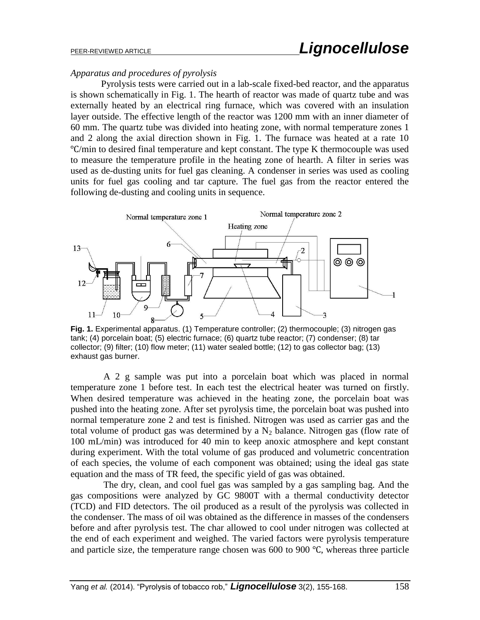#### *Apparatus and procedures of pyrolysis*

Pyrolysis tests were carried out in a lab-scale fixed-bed reactor, and the apparatus is shown schematically in Fig. 1. The hearth of reactor was made of quartz tube and was externally heated by an electrical ring furnace, which was covered with an insulation layer outside. The effective length of the reactor was 1200 mm with an inner diameter of 60 mm. The quartz tube was divided into heating zone, with normal temperature zones 1 and 2 along the axial direction shown in Fig. 1. The furnace was heated at a rate 10 ℃/min to desired final temperature and kept constant. The type K thermocouple was used to measure the temperature profile in the heating zone of hearth. A filter in series was used as de-dusting units for fuel gas cleaning. A condenser in series was used as cooling units for fuel gas cooling and tar capture. The fuel gas from the reactor entered the following de-dusting and cooling units in sequence.



**Fig. 1.** Experimental apparatus. (1) Temperature controller; (2) thermocouple; (3) nitrogen gas tank; (4) porcelain boat; (5) electric furnace; (6) quartz tube reactor; (7) condenser; (8) tar collector; (9) filter; (10) flow meter; (11) water sealed bottle; (12) to gas collector bag; (13) exhaust gas burner.

 A 2 g sample was put into a porcelain boat which was placed in normal temperature zone 1 before test. In each test the electrical heater was turned on firstly. When desired temperature was achieved in the heating zone, the porcelain boat was pushed into the heating zone. After set pyrolysis time, the porcelain boat was pushed into normal temperature zone 2 and test is finished. Nitrogen was used as carrier gas and the total volume of product gas was determined by a  $N_2$  balance. Nitrogen gas (flow rate of 100 mL/min) was introduced for 40 min to keep anoxic atmosphere and kept constant during experiment. With the total volume of gas produced and volumetric concentration of each species, the volume of each component was obtained; using the ideal gas state equation and the mass of TR feed, the specific yield of gas was obtained.

 The dry, clean, and cool fuel gas was sampled by a gas sampling bag. And the gas compositions were analyzed by GC 9800T with a thermal conductivity detector (TCD) and FID detectors. The oil produced as a result of the pyrolysis was collected in the condenser. The mass of oil was obtained as the difference in masses of the condensers before and after pyrolysis test. The char allowed to cool under nitrogen was collected at the end of each experiment and weighed. The varied factors were pyrolysis temperature and particle size, the temperature range chosen was 600 to 900 ℃, whereas three particle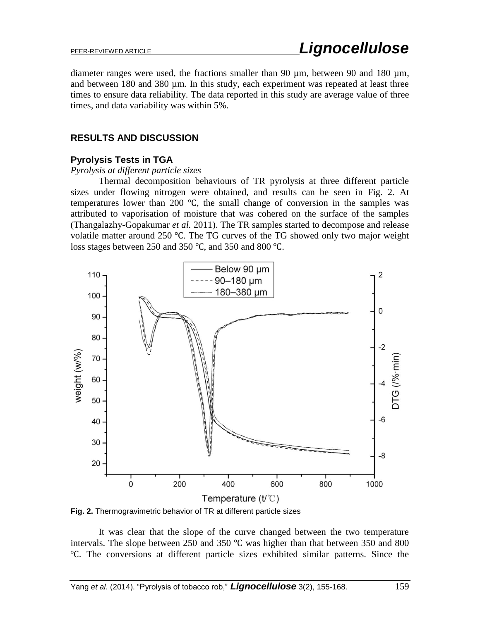diameter ranges were used, the fractions smaller than 90  $\mu$ m, between 90 and 180  $\mu$ m, and between 180 and 380 µm. In this study, each experiment was repeated at least three times to ensure data reliability. The data reported in this study are average value of three times, and data variability was within 5%.

# **RESULTS AND DISCUSSION**

# **Pyrolysis Tests in TGA**

#### *Pyrolysis at different particle sizes*

Thermal decomposition behaviours of TR pyrolysis at three different particle sizes under flowing nitrogen were obtained, and results can be seen in Fig. 2. At temperatures lower than 200 ℃, the small change of conversion in the samples was attributed to vaporisation of moisture that was cohered on the surface of the samples (Thangalazhy-Gopakumar *et al.* 2011). The TR samples started to decompose and release volatile matter around 250 ℃. The TG curves of the TG showed only two major weight loss stages between 250 and 350 ℃, and 350 and 800 ℃.



**Fig. 2.** Thermogravimetric behavior of TR at different particle sizes

It was clear that the slope of the curve changed between the two temperature intervals. The slope between 250 and 350 ℃ was higher than that between 350 and 800 ℃. The conversions at different particle sizes exhibited similar patterns. Since the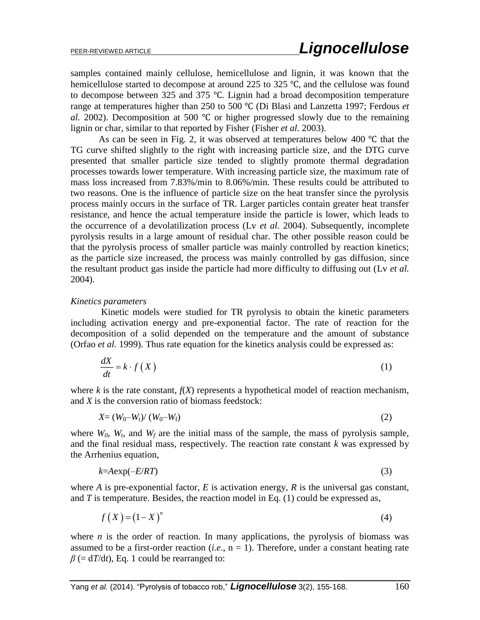samples contained mainly cellulose, hemicellulose and lignin, it was known that the hemicellulose started to decompose at around 225 to 325 °C, and the cellulose was found to decompose between 325 and 375 ℃. Lignin had a broad decomposition temperature range at temperatures higher than 250 to 500 ℃ (Di Blasi and Lanzetta 1997; Ferdous *et al.* 2002). Decomposition at 500 ℃ or higher progressed slowly due to the remaining lignin or char, similar to that reported by Fisher (Fisher *et al.* 2003).

As can be seen in Fig. 2, it was observed at temperatures below 400 ℃ that the TG curve shifted slightly to the right with increasing particle size, and the DTG curve presented that smaller particle size tended to slightly promote thermal degradation processes towards lower temperature. With increasing particle size, the maximum rate of mass loss increased from 7.83%/min to 8.06%/min. These results could be attributed to two reasons. One is the influence of particle size on the heat transfer since the pyrolysis process mainly occurs in the surface of TR. Larger particles contain greater heat transfer resistance, and hence the actual temperature inside the particle is lower, which leads to the occurrence of a devolatilization process (Lv *et al.* 2004). Subsequently, incomplete pyrolysis results in a large amount of residual char. The other possible reason could be that the pyrolysis process of smaller particle was mainly controlled by reaction kinetics; as the particle size increased, the process was mainly controlled by gas diffusion, since the resultant product gas inside the particle had more difficulty to diffusing out (Lv *et al.* 2004).

#### *Kinetics parameters*

Kinetic models were studied for TR pyrolysis to obtain the kinetic parameters including activation energy and pre-exponential factor. The rate of reaction for the decomposition of a solid depended on the temperature and the amount of substance (Orfao *et al.* 1999). Thus rate equation for the kinetics analysis could be expressed as:

$$
\frac{dX}{dt} = k \cdot f\left(X\right) \tag{1}
$$

where  $k$  is the rate constant,  $f(X)$  represents a hypothetical model of reaction mechanism, and *X* is the conversion ratio of biomass feedstock:

$$
X = (W_0-W_t)/(W_0-W_f)
$$
 (2)

where  $W_0$ ,  $W_t$ , and  $W_f$  are the initial mass of the sample, the mass of pyrolysis sample, and the final residual mass, respectively. The reaction rate constant *k* was expressed by the Arrhenius equation,

$$
k = A \exp(-E/RT) \tag{3}
$$

where *A* is pre-exponential factor, *E* is activation energy, *R* is the universal gas constant, and *T* is temperature. Besides, the reaction model in Eq. (1) could be expressed as,

$$
f\left(X\right) = \left(1 - X\right)^n\tag{4}
$$

where *n* is the order of reaction. In many applications, the pyrolysis of biomass was assumed to be a first-order reaction  $(i.e., n = 1)$ . Therefore, under a constant heating rate  $\beta$  (= d*T*/d*t*), Eq. 1 could be rearranged to: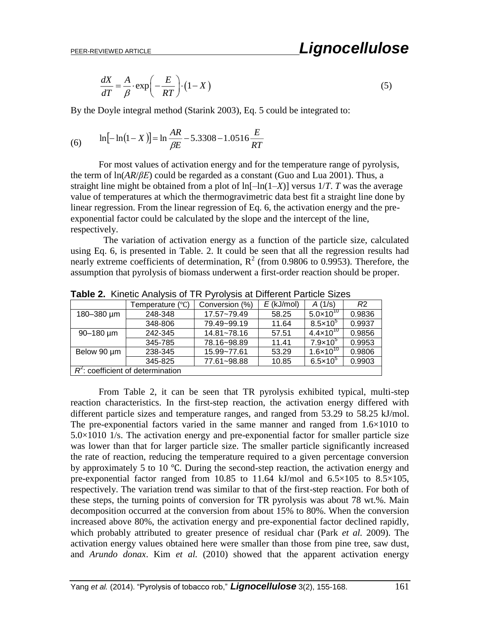$$
\frac{dX}{dT} = \frac{A}{\beta} \cdot \exp\left(-\frac{E}{RT}\right) \cdot (1 - X) \tag{5}
$$

By the Doyle integral method (Starink 2003), Eq. 5 could be integrated to:

(6) 
$$
\ln[-\ln(1-X)] = \ln\frac{AR}{\beta E} - 5.3308 - 1.0516\frac{E}{RT}
$$

For most values of activation energy and for the temperature range of pyrolysis, the term of ln(*AR*/*βE*) could be regarded as a constant (Guo and Lua 2001). Thus, a straight line might be obtained from a plot of  $\ln[-\ln(1-X)]$  versus  $1/T$ . *T* was the average value of temperatures at which the thermogravimetric data best fit a straight line done by linear regression. From the linear regression of Eq. 6, the activation energy and the preexponential factor could be calculated by the slope and the intercept of the line, respectively.

 The variation of activation energy as a function of the particle size, calculated using Eq. 6, is presented in Table. 2. It could be seen that all the regression results had nearly extreme coefficients of determination,  $R^2$  (from 0.9806 to 0.9953). Therefore, the assumption that pyrolysis of biomass underwent a first-order reaction should be proper.

|             | Temperature (°C)                     | Conversion (%)  | $E$ (kJ/mol) | A(1/s)               | R <sub>2</sub> |
|-------------|--------------------------------------|-----------------|--------------|----------------------|----------------|
| 180-380 µm  | 248-348                              | 17.57~79.49     | 58.25        | $5.0 \times 10^{10}$ | 0.9836         |
|             | 348-806                              | 79.49~99.19     | 11.64        | $8.5\times10^{5}$    | 0.9937         |
| 90-180 µm   | 242-345                              | $14.81 - 78.16$ | 57.51        | 4.4×10 $^{\rm 10}$   | 0.9856         |
|             | 345-785                              | 78.16~98.89     | 11.41        | $7.9\times10^{5}$    | 0.9953         |
| Below 90 um | 238-345                              | 15.99~77.61     | 53.29        | $1.6 \times 10^{10}$ | 0.9806         |
|             | 345-825                              | 77.61~98.88     | 10.85        | $6.5 \times 10^{5}$  | 0.9903         |
|             | $R^2$ : coefficient of determination |                 |              |                      |                |

**Table 2.** Kinetic Analysis of TR Pyrolysis at Different Particle Sizes

(6)  $\ln[-\ln(1-x)] = \ln \frac{760 \cdot \pi}{\beta E} = 5.3308 - 1.0516 \frac{L}{RT}$ <br>
For most values of activation energy and for the temperature range of pyrolysis.<br>
the term of highe/ $\beta E/2$  could be regarded as a constant (Goo and Lan 2001). Thu From Table 2, it can be seen that TR pyrolysis exhibited typical, multi-step reaction characteristics. In the first-step reaction, the activation energy differed with different particle sizes and temperature ranges, and ranged from 53.29 to 58.25 kJ/mol. The pre-exponential factors varied in the same manner and ranged from 1.6×1010 to  $5.0\times1010$  1/s. The activation energy and pre-exponential factor for smaller particle size was lower than that for larger particle size. The smaller particle significantly increased the rate of reaction, reducing the temperature required to a given percentage conversion by approximately 5 to 10 ℃. During the second-step reaction, the activation energy and pre-exponential factor ranged from 10.85 to 11.64 kJ/mol and  $6.5 \times 105$  to  $8.5 \times 105$ , respectively. The variation trend was similar to that of the first-step reaction. For both of these steps, the turning points of conversion for TR pyrolysis was about 78 wt.%. Main decomposition occurred at the conversion from about 15% to 80%. When the conversion increased above 80%, the activation energy and pre-exponential factor declined rapidly, which probably attributed to greater presence of residual char (Park *et al.* 2009). The activation energy values obtained here were smaller than those from pine tree, saw dust, and *Arundo donax*. Kim *et al.* (2010) showed that the apparent activation energy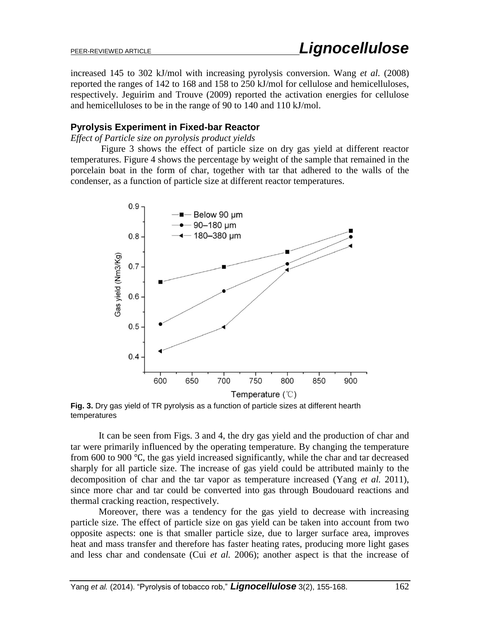increased 145 to 302 kJ/mol with increasing pyrolysis conversion. Wang *et al.* (2008) reported the ranges of 142 to 168 and 158 to 250 kJ/mol for cellulose and hemicelluloses, respectively. Jeguirim and Trouve (2009) reported the activation energies for cellulose and hemicelluloses to be in the range of 90 to 140 and 110 kJ/mol.

# **Pyrolysis Experiment in Fixed-bar Reactor**

*Effect of Particle size on pyrolysis product yields*

Figure 3 shows the effect of particle size on dry gas yield at different reactor temperatures. Figure 4 shows the percentage by weight of the sample that remained in the porcelain boat in the form of char, together with tar that adhered to the walls of the condenser, as a function of particle size at different reactor temperatures.



**Fig. 3.** Dry gas yield of TR pyrolysis as a function of particle sizes at different hearth temperatures

It can be seen from Figs. 3 and 4, the dry gas yield and the production of char and tar were primarily influenced by the operating temperature. By changing the temperature from 600 to 900 ℃, the gas yield increased significantly, while the char and tar decreased sharply for all particle size. The increase of gas yield could be attributed mainly to the decomposition of char and the tar vapor as temperature increased (Yang *et al.* 2011), since more char and tar could be converted into gas through Boudouard reactions and thermal cracking reaction, respectively.

Moreover, there was a tendency for the gas yield to decrease with increasing particle size. The effect of particle size on gas yield can be taken into account from two opposite aspects: one is that smaller particle size, due to larger surface area, improves heat and mass transfer and therefore has faster heating rates, producing more light gases and less char and condensate (Cui *et al.* 2006); another aspect is that the increase of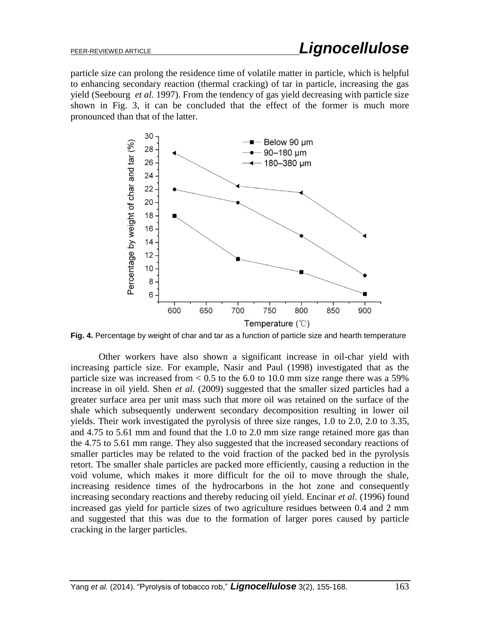particle size can prolong the residence time of volatile matter in particle, which is helpful to enhancing secondary reaction (thermal cracking) of tar in particle, increasing the gas yield (Seebourg *et al.* 1997). From the tendency of gas yield decreasing with particle size shown in Fig. 3, it can be concluded that the effect of the former is much more pronounced than that of the latter.



Fig. 4. Percentage by weight of char and tar as a function of particle size and hearth temperature

Other workers have also shown a significant increase in oil-char yield with increasing particle size. For example, Nasir and Paul (1998) investigated that as the particle size was increased from  $< 0.5$  to the 6.0 to 10.0 mm size range there was a 59% increase in oil yield. Shen *et al.* (2009) suggested that the smaller sized particles had a greater surface area per unit mass such that more oil was retained on the surface of the shale which subsequently underwent secondary decomposition resulting in lower oil yields. Their work investigated the pyrolysis of three size ranges, 1.0 to 2.0, 2.0 to 3.35, and 4.75 to 5.61 mm and found that the 1.0 to 2.0 mm size range retained more gas than the 4.75 to 5.61 mm range. They also suggested that the increased secondary reactions of smaller particles may be related to the void fraction of the packed bed in the pyrolysis retort. The smaller shale particles are packed more efficiently, causing a reduction in the void volume, which makes it more difficult for the oil to move through the shale, increasing residence times of the hydrocarbons in the hot zone and consequently increasing secondary reactions and thereby reducing oil yield. Encinar *et al.* (1996) found increased gas yield for particle sizes of two agriculture residues between 0.4 and 2 mm and suggested that this was due to the formation of larger pores caused by particle cracking in the larger particles.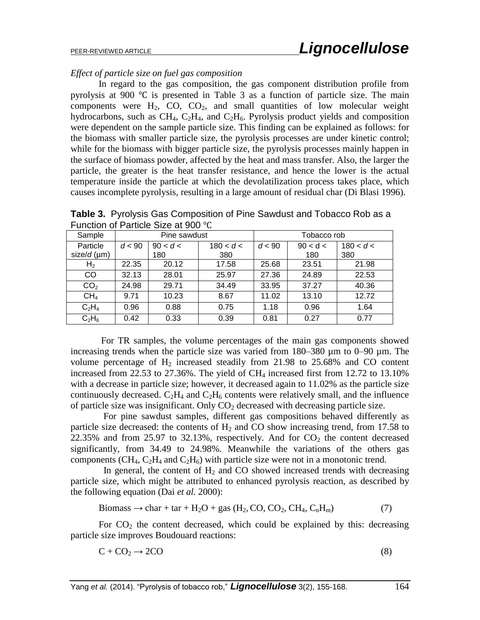### *Effect of particle size on fuel gas composition*

In regard to the gas composition, the gas component distribution profile from pyrolysis at 900 ℃ is presented in Table 3 as a function of particle size. The main components were  $H_2$ , CO, CO<sub>2</sub>, and small quantities of low molecular weight hydrocarbons, such as CH<sub>4</sub>, C<sub>2</sub>H<sub>4</sub>, and C<sub>2</sub>H<sub>6</sub>. Pyrolysis product yields and composition were dependent on the sample particle size. This finding can be explained as follows: for the biomass with smaller particle size, the pyrolysis processes are under kinetic control; while for the biomass with bigger particle size, the pyrolysis processes mainly happen in the surface of biomass powder, affected by the heat and mass transfer. Also, the larger the particle, the greater is the heat transfer resistance, and hence the lower is the actual temperature inside the particle at which the devolatilization process takes place, which causes incomplete pyrolysis, resulting in a large amount of residual char (Di Blasi 1996).

| Function of Particle Size at 900 °C |              |          |             |        |          |           |  |  |
|-------------------------------------|--------------|----------|-------------|--------|----------|-----------|--|--|
| Sample                              | Pine sawdust |          | Tobacco rob |        |          |           |  |  |
| Particle                            | d < 90       | 90 < d < | 180 < d <   | d < 90 | 90 < d < | 180 < d < |  |  |
| size/ $d$ (µm)                      |              | 180      | 380         |        | 180      | 380       |  |  |
| H <sub>2</sub>                      | 22.35        | 20.12    | 17.58       | 25.68  | 23.51    | 21.98     |  |  |
| CO                                  | 32.13        | 28.01    | 25.97       | 27.36  | 24.89    | 22.53     |  |  |
| CO <sub>2</sub>                     | 24.98        | 29.71    | 34.49       | 33.95  | 37.27    | 40.36     |  |  |
| CH <sub>4</sub>                     | 9.71         | 10.23    | 8.67        | 11.02  | 13.10    | 12.72     |  |  |
| $C_2H_4$                            | 0.96         | 0.88     | 0.75        | 1.18   | 0.96     | 1.64      |  |  |
| $C_2H_6$                            | 0.42         | 0.33     | 0.39        | 0.81   | 0.27     | 0.77      |  |  |

**Table 3.** Pyrolysis Gas Composition of Pine Sawdust and Tobacco Rob as a Function of Particle Size at 900 ℃

For TR samples, the volume percentages of the main gas components showed increasing trends when the particle size was varied from 180–380 µm to 0–90 µm. The volume percentage of  $H_2$  increased steadily from 21.98 to 25.68% and CO content increased from 22.53 to 27.36%. The yield of  $CH<sub>4</sub>$  increased first from 12.72 to 13.10% with a decrease in particle size; however, it decreased again to 11.02% as the particle size continuously decreased.  $C_2H_4$  and  $C_2H_6$  contents were relatively small, and the influence of particle size was insignificant. Only  $CO<sub>2</sub>$  decreased with decreasing particle size.

 For pine sawdust samples, different gas compositions behaved differently as particle size decreased: the contents of  $H_2$  and CO show increasing trend, from 17.58 to 22.35% and from 25.97 to 32.13%, respectively. And for  $CO<sub>2</sub>$  the content decreased significantly, from 34.49 to 24.98%. Meanwhile the variations of the others gas components (CH<sub>4</sub>, C<sub>2</sub>H<sub>4</sub> and C<sub>2</sub>H<sub>6</sub>) with particle size were not in a monotonic trend.

In general, the content of  $H_2$  and CO showed increased trends with decreasing particle size, which might be attributed to enhanced pyrolysis reaction, as described by the following equation (Dai *et al.* 2000):

$$
Biomass \rightarrow char + tar + H2O + gas (H2, CO, CO2, CH4, CnHm)
$$
 (7)

For  $CO<sub>2</sub>$  the content decreased, which could be explained by this: decreasing particle size improves Boudouard reactions:

$$
C + CO_2 \rightarrow 2CO \tag{8}
$$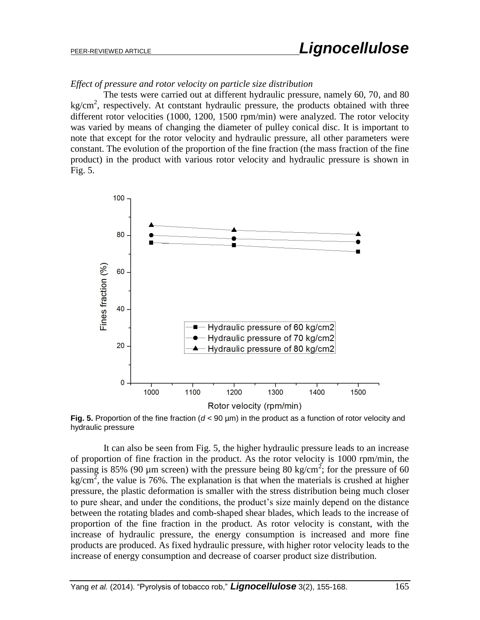# *Effect of pressure and rotor velocity on particle size distribution*

 The tests were carried out at different hydraulic pressure, namely 60, 70, and 80 kg/cm<sup>2</sup>, respectively. At contstant hydraulic pressure, the products obtained with three different rotor velocities (1000, 1200, 1500 rpm/min) were analyzed. The rotor velocity was varied by means of changing the diameter of pulley conical disc. It is important to note that except for the rotor velocity and hydraulic pressure, all other parameters were constant. The evolution of the proportion of the fine fraction (the mass fraction of the fine product) in the product with various rotor velocity and hydraulic pressure is shown in Fig. 5.



**Fig. 5.** Proportion of the fine fraction ( $d < 90 \mu$ m) in the product as a function of rotor velocity and hydraulic pressure

 It can also be seen from Fig. 5, the higher hydraulic pressure leads to an increase of proportion of fine fraction in the product. As the rotor velocity is 1000 rpm/min, the passing is 85% (90 µm screen) with the pressure being 80 kg/cm<sup>2</sup>; for the pressure of 60  $\frac{\text{kg}}{\text{cm}^2}$ , the value is 76%. The explanation is that when the materials is crushed at higher pressure, the plastic deformation is smaller with the stress distribution being much closer to pure shear, and under the conditions, the product's size mainly depend on the distance between the rotating blades and comb-shaped shear blades, which leads to the increase of proportion of the fine fraction in the product. As rotor velocity is constant, with the increase of hydraulic pressure, the energy consumption is increased and more fine products are produced. As fixed hydraulic pressure, with higher rotor velocity leads to the increase of energy consumption and decrease of coarser product size distribution.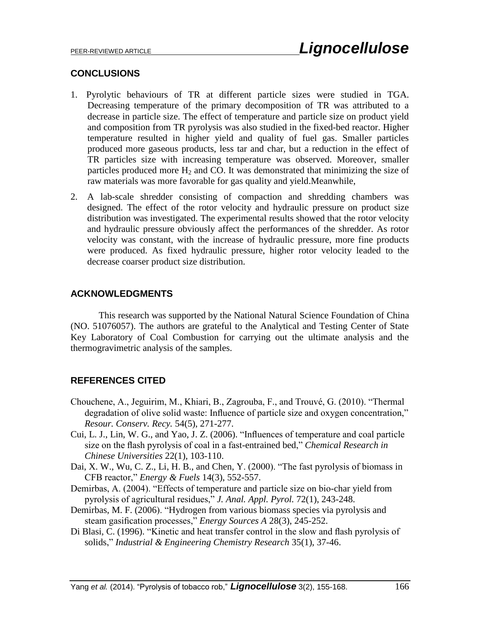#### **CONCLUSIONS**

- 1. Pyrolytic behaviours of TR at different particle sizes were studied in TGA. Decreasing temperature of the primary decomposition of TR was attributed to a decrease in particle size. The effect of temperature and particle size on product yield and composition from TR pyrolysis was also studied in the fixed-bed reactor. Higher temperature resulted in higher yield and quality of fuel gas. Smaller particles produced more gaseous products, less tar and char, but a reduction in the effect of TR particles size with increasing temperature was observed. Moreover, smaller particles produced more  $H_2$  and CO. It was demonstrated that minimizing the size of raw materials was more favorable for gas quality and yield.Meanwhile,
- 2. A lab-scale shredder consisting of compaction and shredding chambers was designed. The effect of the rotor velocity and hydraulic pressure on product size distribution was investigated. The experimental results showed that the rotor velocity and hydraulic pressure obviously affect the performances of the shredder. As rotor velocity was constant, with the increase of hydraulic pressure, more fine products were produced. As fixed hydraulic pressure, higher rotor velocity leaded to the decrease coarser product size distribution.

# **ACKNOWLEDGMENTS**

This research was supported by the National Natural Science Foundation of China (NO. 51076057). The authors are grateful to the Analytical and Testing Center of State Key Laboratory of Coal Combustion for carrying out the ultimate analysis and the thermogravimetric analysis of the samples.

# **REFERENCES CITED**

- Chouchene, A., Jeguirim, M., Khiari, B., Zagrouba, F., and Trouvé, G. (2010). "Thermal degradation of olive solid waste: Influence of particle size and oxygen concentration," *Resour. Conserv. Recy.* 54(5), 271-277.
- Cui, L. J., Lin, W. G., and Yao, J. Z. (2006). "Influences of temperature and coal particle size on the flash pyrolysis of coal in a fast-entrained bed," *Chemical Research in Chinese Universities* 22(1), 103-110.
- Dai, X. W., Wu, C. Z., Li, H. B., and Chen, Y. (2000). "The fast pyrolysis of biomass in CFB reactor," *Energy & Fuels* 14(3), 552-557.
- Demirbas, A. (2004). "Effects of temperature and particle size on bio-char yield from pyrolysis of agricultural residues," *J. Anal. Appl. Pyrol.* 72(1), 243-248.
- Demirbas, M. F. (2006). "Hydrogen from various biomass species via pyrolysis and steam gasification processes," *Energy Sources A* 28(3), 245-252.
- Di Blasi, C. (1996). "Kinetic and heat transfer control in the slow and flash pyrolysis of solids," *Industrial & Engineering Chemistry Research* 35(1), 37-46.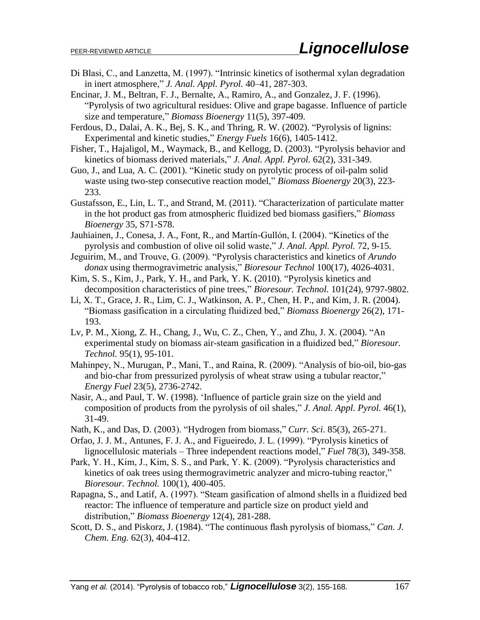- Di Blasi, C., and Lanzetta, M. (1997). "Intrinsic kinetics of isothermal xylan degradation in inert atmosphere," *J. Anal. Appl. Pyrol.* 40–41, 287-303.
- Encinar, J. M., Beltran, F. J., Bernalte, A., Ramiro, A., and Gonzalez, J. F. (1996). "Pyrolysis of two agricultural residues: Olive and grape bagasse. Influence of particle size and temperature," *Biomass Bioenergy* 11(5), 397-409.
- Ferdous, D., Dalai, A. K., Bej, S. K., and Thring, R. W. (2002). "Pyrolysis of lignins: Experimental and kinetic studies," *Energy Fuels* 16(6), 1405-1412.
- Fisher, T., Hajaligol, M., Waymack, B., and Kellogg, D. (2003). "Pyrolysis behavior and kinetics of biomass derived materials," *J. Anal. Appl. Pyrol.* 62(2), 331-349.
- Guo, J., and Lua, A. C. (2001). "Kinetic study on pyrolytic process of oil-palm solid waste using two-step consecutive reaction model," *Biomass Bioenergy* 20(3), 223- 233.
- Gustafsson, E., Lin, L. T., and Strand, M. (2011). "Characterization of particulate matter in the hot product gas from atmospheric fluidized bed biomass gasifiers," *Biomass Bioenergy* 35, S71-S78.
- Jauhiainen, J., Conesa, J. A., Font, R., and Martín-Gullón, I. (2004). "Kinetics of the pyrolysis and combustion of olive oil solid waste," *J. Anal. Appl. Pyrol.* 72, 9-15.
- Jeguirim, M., and Trouve, G. (2009). "Pyrolysis characteristics and kinetics of *Arundo donax* using thermogravimetric analysis," *Bioresour Technol* 100(17), 4026-4031.
- Kim, S. S., Kim, J., Park, Y. H., and Park, Y. K. (2010). "Pyrolysis kinetics and decomposition characteristics of pine trees," *Bioresour. Technol.* 101(24), 9797-9802.
- Li, X. T., Grace, J. R., Lim, C. J., Watkinson, A. P., Chen, H. P., and Kim, J. R. (2004). "Biomass gasification in a circulating fluidized bed," *Biomass Bioenergy* 26(2), 171- 193.
- Lv, P. M., Xiong, Z. H., Chang, J., Wu, C. Z., Chen, Y., and Zhu, J. X. (2004). "An experimental study on biomass air-steam gasification in a fluidized bed," *Bioresour. Technol.* 95(1), 95-101.
- Mahinpey, N., Murugan, P., Mani, T., and Raina, R. (2009). "Analysis of bio-oil, bio-gas and bio-char from pressurized pyrolysis of wheat straw using a tubular reactor," *Energy Fuel* 23(5), 2736-2742.
- Nasir, A., and Paul, T. W. (1998). 'Influence of particle grain size on the yield and composition of products from the pyrolysis of oil shales," *J. Anal. Appl. Pyrol.* 46(1), 31-49.
- Nath, K., and Das, D. (2003). "Hydrogen from biomass," *Curr. Sci*. 85(3), 265-271.
- Orfao, J. J. M., Antunes, F. J. A., and Figueiredo, J. L. (1999). "Pyrolysis kinetics of lignocellulosic materials – Three independent reactions model," *Fuel* 78(3), 349-358.
- Park, Y. H., Kim, J., Kim, S. S., and Park, Y. K. (2009). "Pyrolysis characteristics and kinetics of oak trees using thermogravimetric analyzer and micro-tubing reactor," *Bioresour. Technol.* 100(1), 400-405.
- Rapagna, S., and Latif, A. (1997). "Steam gasification of almond shells in a fluidized bed reactor: The influence of temperature and particle size on product yield and distribution," *Biomass Bioenergy* 12(4), 281-288.
- Scott, D. S., and Piskorz, J. (1984). "The continuous flash pyrolysis of biomass," *Can. J. Chem. Eng.* 62(3), 404-412.